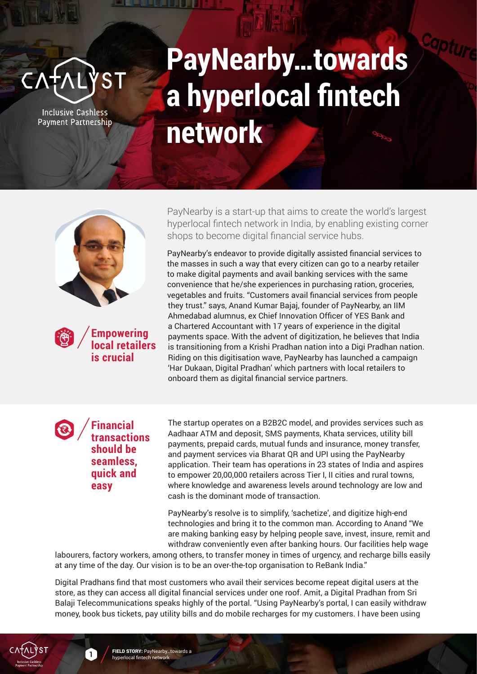

**Inclusive Cashless** Payment Partnership

## **PayNearby…towards a hyperlocal fintech network**



**Empowering local retailers is crucial**

PayNearby is a start-up that aims to create the world's largest hyperlocal fintech network in India, by enabling existing corner shops to become digital financial service hubs.

PayNearby's endeavor to provide digitally assisted financial services to the masses in such a way that every citizen can go to a nearby retailer to make digital payments and avail banking services with the same convenience that he/she experiences in purchasing ration, groceries, vegetables and fruits. "Customers avail financial services from people they trust." says, Anand Kumar Bajaj, founder of PayNearby, an IIM Ahmedabad alumnus, ex Chief Innovation Officer of YES Bank and a Chartered Accountant with 17 years of experience in the digital payments space. With the advent of digitization, he believes that India is transitioning from a Krishi Pradhan nation into a Digi Pradhan nation. Riding on this digitisation wave, PayNearby has launched a campaign 'Har Dukaan, Digital Pradhan' which partners with local retailers to onboard them as digital financial service partners.

## **Financial transactions should be seamless, quick and easy**

The startup operates on a B2B2C model, and provides services such as Aadhaar ATM and deposit, SMS payments, Khata services, utility bill payments, prepaid cards, mutual funds and insurance, money transfer, and payment services via Bharat QR and UPI using the PayNearby application. Their team has operations in 23 states of India and aspires to empower 20,00,000 retailers across Tier I, II cities and rural towns, where knowledge and awareness levels around technology are low and cash is the dominant mode of transaction.

PayNearby's resolve is to simplify, 'sachetize', and digitize high-end technologies and bring it to the common man. According to Anand "We are making banking easy by helping people save, invest, insure, remit and withdraw conveniently even after banking hours. Our facilities help wage

labourers, factory workers, among others, to transfer money in times of urgency, and recharge bills easily at any time of the day. Our vision is to be an over-the-top organisation to ReBank India."

recharges for my customers I have been using money, book bus tickets, pay utility bills and do mobile recharges for my customers. I have been using Digital Pradhans find that most customers who avail their services become repeat digital users at the store, as they can access all digital financial services under one roof. Amit, a Digital Pradhan from Sri Balaji Telecommunications speaks highly of the portal. "Using PayNearby's portal, I can easily withdraw



**1**